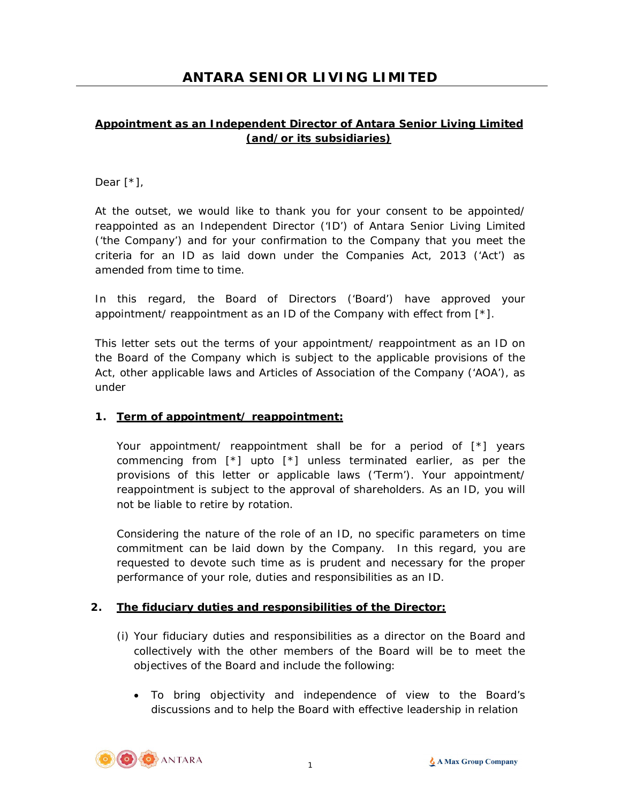## **Appointment as an Independent Director of Antara Senior Living Limited (and/or its subsidiaries)**

## Dear [\*],

At the outset, we would like to thank you for your consent to be appointed/ reappointed as an Independent Director ('ID') of Antara Senior Living Limited ('the Company') and for your confirmation to the Company that you meet the criteria for an ID as laid down under the Companies Act, 2013 ('Act') as amended from time to time.

In this regard, the Board of Directors ('Board') have approved your appointment/ reappointment as an ID of the Company with effect from [\*].

This letter sets out the terms of your appointment/ reappointment as an ID on the Board of the Company which is subject to the applicable provisions of the Act, other applicable laws and Articles of Association of the Company ('AOA'), as under

### **1. Term of appointment/ reappointment:**

Your appointment/ reappointment shall be for a period of [\*] years commencing from [\*] upto [\*] unless terminated earlier, as per the provisions of this letter or applicable laws ('Term'). Your appointment/ reappointment is subject to the approval of shareholders. As an ID, you will not be liable to retire by rotation.

Considering the nature of the role of an ID, no specific parameters on time commitment can be laid down by the Company. In this regard, you are requested to devote such time as is prudent and necessary for the proper performance of your role, duties and responsibilities as an ID.

### **2. The fiduciary duties and responsibilities of the Director:**

- (i) Your fiduciary duties and responsibilities as a director on the Board and collectively with the other members of the Board will be to meet the objectives of the Board and include the following:
	- To bring objectivity and independence of view to the Board's discussions and to help the Board with effective leadership in relation

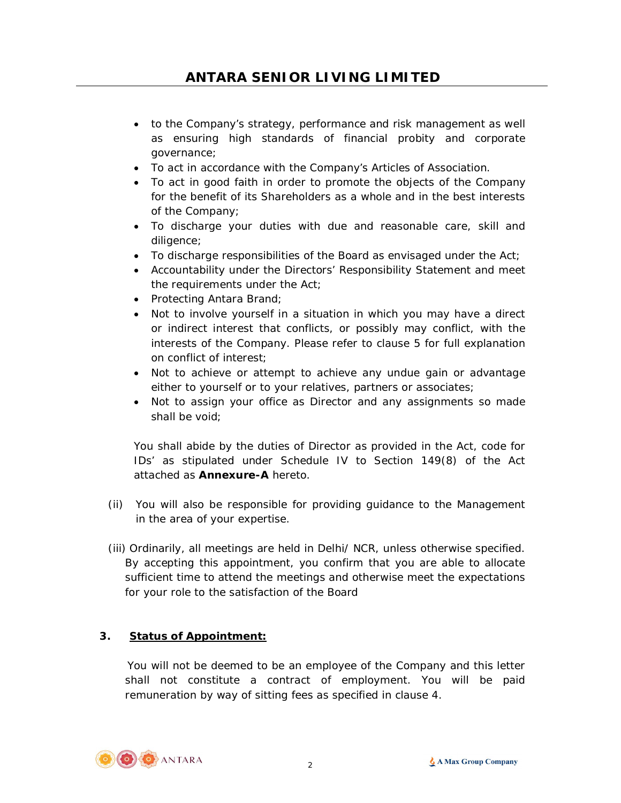- to the Company's strategy, performance and risk management as well as ensuring high standards of financial probity and corporate governance;
- To act in accordance with the Company's Articles of Association.
- To act in good faith in order to promote the objects of the Company for the benefit of its Shareholders as a whole and in the best interests of the Company;
- To discharge your duties with due and reasonable care, skill and diligence;
- To discharge responsibilities of the Board as envisaged under the Act;
- Accountability under the Directors' Responsibility Statement and meet the requirements under the Act;
- Protecting Antara Brand;
- Not to involve yourself in a situation in which you may have a direct or indirect interest that conflicts, or possibly may conflict, with the interests of the Company. Please refer to clause 5 for full explanation on conflict of interest;
- Not to achieve or attempt to achieve any undue gain or advantage either to yourself or to your relatives, partners or associates;
- Not to assign your office as Director and any assignments so made shall be void;

You shall abide by the duties of Director as provided in the Act, code for IDs' as stipulated under Schedule IV to Section 149(8) of the Act attached as **Annexure-A** hereto.

- (ii) You will also be responsible for providing guidance to the Management in the area of your expertise.
- (iii) Ordinarily, all meetings are held in Delhi/ NCR, unless otherwise specified. By accepting this appointment, you confirm that you are able to allocate sufficient time to attend the meetings and otherwise meet the expectations for your role to the satisfaction of the Board

# **3. Status of Appointment:**

You will not be deemed to be an employee of the Company and this letter shall not constitute a contract of employment. You will be paid remuneration by way of sitting fees as specified in clause 4.

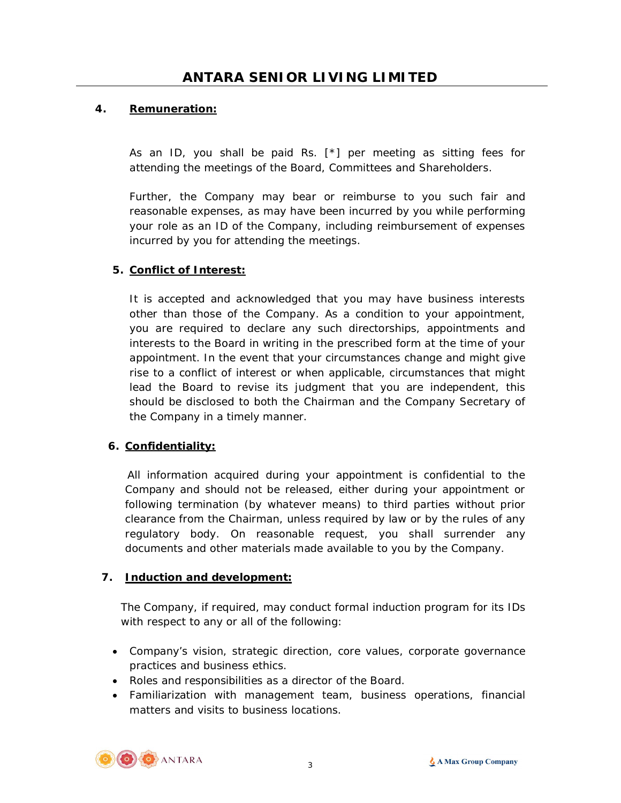## **4. Remuneration:**

As an ID, you shall be paid Rs.  $[*]$  per meeting as sitting fees for attending the meetings of the Board, Committees and Shareholders.

Further, the Company may bear or reimburse to you such fair and reasonable expenses, as may have been incurred by you while performing your role as an ID of the Company, including reimbursement of expenses incurred by you for attending the meetings.

### **5. Conflict of Interest:**

It is accepted and acknowledged that you may have business interests other than those of the Company. As a condition to your appointment, you are required to declare any such directorships, appointments and interests to the Board in writing in the prescribed form at the time of your appointment. In the event that your circumstances change and might give rise to a conflict of interest or when applicable, circumstances that might lead the Board to revise its judgment that you are independent, this should be disclosed to both the Chairman and the Company Secretary of the Company in a timely manner.

### **6. Confidentiality:**

All information acquired during your appointment is confidential to the Company and should not be released, either during your appointment or following termination (by whatever means) to third parties without prior clearance from the Chairman, unless required by law or by the rules of any regulatory body. On reasonable request, you shall surrender any documents and other materials made available to you by the Company.

### **7. Induction and development:**

The Company, if required, may conduct formal induction program for its IDs with respect to any or all of the following:

- Company's vision, strategic direction, core values, corporate governance practices and business ethics.
- Roles and responsibilities as a director of the Board.
- Familiarization with management team, business operations, financial matters and visits to business locations.

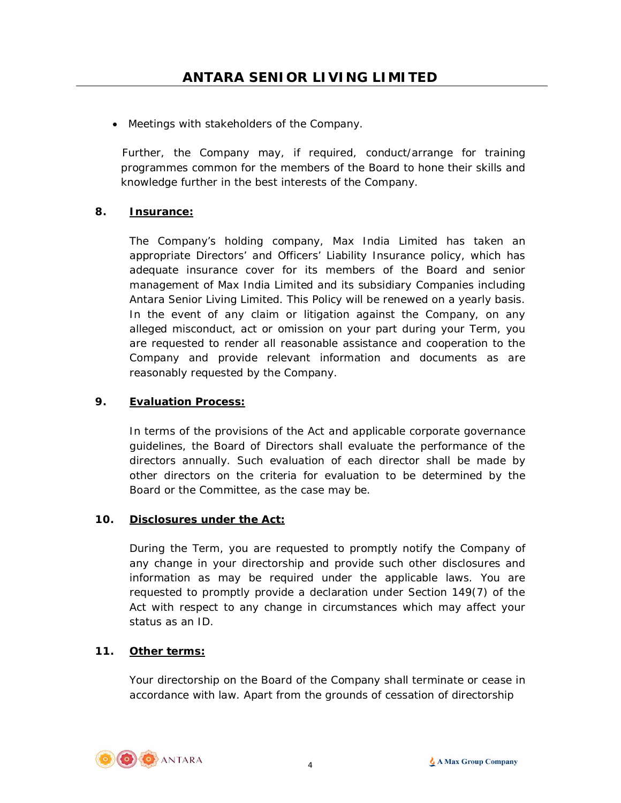Meetings with stakeholders of the Company.

 Further, the Company may, if required, conduct/arrange for training programmes common for the members of the Board to hone their skills and knowledge further in the best interests of the Company.

### **8. Insurance:**

The Company's holding company, Max India Limited has taken an appropriate Directors' and Officers' Liability Insurance policy, which has adequate insurance cover for its members of the Board and senior management of Max India Limited and its subsidiary Companies including Antara Senior Living Limited. This Policy will be renewed on a yearly basis. In the event of any claim or litigation against the Company, on any alleged misconduct, act or omission on your part during your Term, you are requested to render all reasonable assistance and cooperation to the Company and provide relevant information and documents as are reasonably requested by the Company.

### **9. Evaluation Process:**

In terms of the provisions of the Act and applicable corporate governance guidelines, the Board of Directors shall evaluate the performance of the directors annually. Such evaluation of each director shall be made by other directors on the criteria for evaluation to be determined by the Board or the Committee, as the case may be.

### **10. Disclosures under the Act:**

During the Term, you are requested to promptly notify the Company of any change in your directorship and provide such other disclosures and information as may be required under the applicable laws. You are requested to promptly provide a declaration under Section 149(7) of the Act with respect to any change in circumstances which may affect your status as an ID.

### **11. Other terms:**

Your directorship on the Board of the Company shall terminate or cease in accordance with law. Apart from the grounds of cessation of directorship

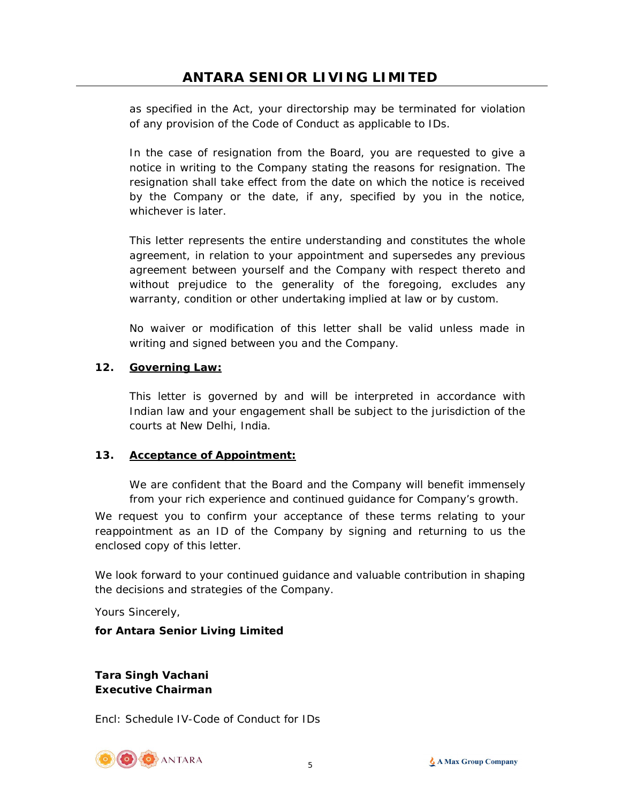as specified in the Act, your directorship may be terminated for violation of any provision of the Code of Conduct as applicable to IDs.

In the case of resignation from the Board, you are requested to give a notice in writing to the Company stating the reasons for resignation. The resignation shall take effect from the date on which the notice is received by the Company or the date, if any, specified by you in the notice, whichever is later.

This letter represents the entire understanding and constitutes the whole agreement, in relation to your appointment and supersedes any previous agreement between yourself and the Company with respect thereto and without prejudice to the generality of the foregoing, excludes any warranty, condition or other undertaking implied at law or by custom.

No waiver or modification of this letter shall be valid unless made in writing and signed between you and the Company.

### **12. Governing Law:**

This letter is governed by and will be interpreted in accordance with Indian law and your engagement shall be subject to the jurisdiction of the courts at New Delhi, India.

### **13. Acceptance of Appointment:**

We are confident that the Board and the Company will benefit immensely from your rich experience and continued guidance for Company's growth.

We request you to confirm your acceptance of these terms relating to your reappointment as an ID of the Company by signing and returning to us the enclosed copy of this letter.

We look forward to your continued guidance and valuable contribution in shaping the decisions and strategies of the Company.

Yours Sincerely,

### **for Antara Senior Living Limited**

**Tara Singh Vachani Executive Chairman** 

Encl: Schedule IV-Code of Conduct for IDs

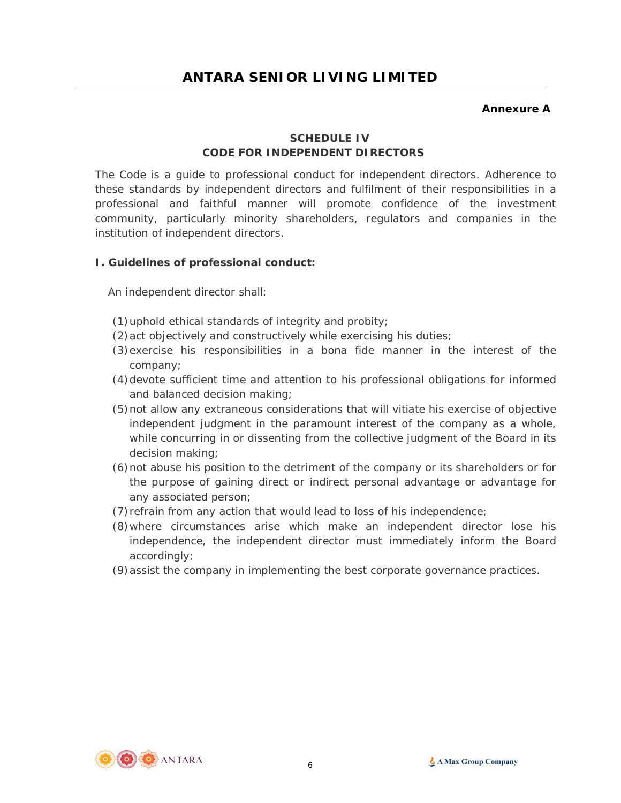#### **Annexure A**

# **SCHEDULE IV CODE FOR INDEPENDENT DIRECTORS**

The Code is a guide to professional conduct for independent directors. Adherence to these standards by independent directors and fulfilment of their responsibilities in a professional and faithful manner will promote confidence of the investment community, particularly minority shareholders, regulators and companies in the institution of independent directors.

### **I. Guidelines of professional conduct:**

An independent director shall:

- (1)uphold ethical standards of integrity and probity;
- (2)act objectively and constructively while exercising his duties;
- (3)exercise his responsibilities in a bona fide manner in the interest of the company;
- (4)devote sufficient time and attention to his professional obligations for informed and balanced decision making;
- (5)not allow any extraneous considerations that will vitiate his exercise of objective independent judgment in the paramount interest of the company as a whole, while concurring in or dissenting from the collective judgment of the Board in its decision making;
- (6)not abuse his position to the detriment of the company or its shareholders or for the purpose of gaining direct or indirect personal advantage or advantage for any associated person;
- (7)refrain from any action that would lead to loss of his independence;
- (8)where circumstances arise which make an independent director lose his independence, the independent director must immediately inform the Board accordingly;
- (9)assist the company in implementing the best corporate governance practices.

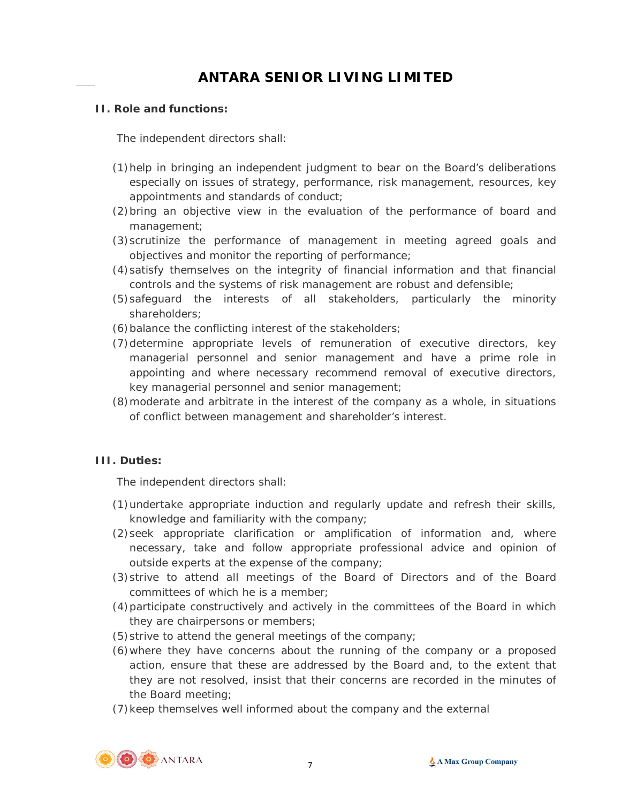#### **II. Role and functions:**

The independent directors shall:

- (1)help in bringing an independent judgment to bear on the Board's deliberations especially on issues of strategy, performance, risk management, resources, key appointments and standards of conduct;
- (2)bring an objective view in the evaluation of the performance of board and management;
- (3)scrutinize the performance of management in meeting agreed goals and objectives and monitor the reporting of performance;
- (4)satisfy themselves on the integrity of financial information and that financial controls and the systems of risk management are robust and defensible;
- (5)safeguard the interests of all stakeholders, particularly the minority shareholders;
- (6)balance the conflicting interest of the stakeholders;
- (7)determine appropriate levels of remuneration of executive directors, key managerial personnel and senior management and have a prime role in appointing and where necessary recommend removal of executive directors, key managerial personnel and senior management;
- (8)moderate and arbitrate in the interest of the company as a whole, in situations of conflict between management and shareholder's interest.

### **III. Duties:**

The independent directors shall:

- (1)undertake appropriate induction and regularly update and refresh their skills, knowledge and familiarity with the company;
- (2)seek appropriate clarification or amplification of information and, where necessary, take and follow appropriate professional advice and opinion of outside experts at the expense of the company;
- (3)strive to attend all meetings of the Board of Directors and of the Board committees of which he is a member;
- (4)participate constructively and actively in the committees of the Board in which they are chairpersons or members;
- (5)strive to attend the general meetings of the company;
- (6)where they have concerns about the running of the company or a proposed action, ensure that these are addressed by the Board and, to the extent that they are not resolved, insist that their concerns are recorded in the minutes of the Board meeting;
- (7)keep themselves well informed about the company and the external

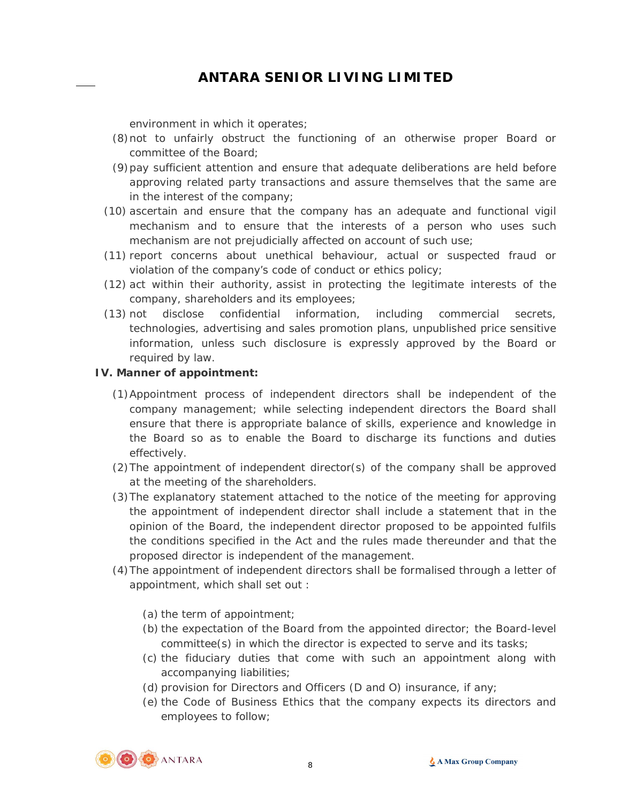environment in which it operates;

- (8)not to unfairly obstruct the functioning of an otherwise proper Board or committee of the Board;
- (9)pay sufficient attention and ensure that adequate deliberations are held before approving related party transactions and assure themselves that the same are in the interest of the company;
- (10) ascertain and ensure that the company has an adequate and functional vigil mechanism and to ensure that the interests of a person who uses such mechanism are not prejudicially affected on account of such use;
- (11) report concerns about unethical behaviour, actual or suspected fraud or violation of the company's code of conduct or ethics policy;
- (12) act within their authority, assist in protecting the legitimate interests of the company, shareholders and its employees;
- (13) not disclose confidential information, including commercial secrets, technologies, advertising and sales promotion plans, unpublished price sensitive information, unless such disclosure is expressly approved by the Board or required by law.

#### **IV. Manner of appointment:**

- (1)Appointment process of independent directors shall be independent of the company management; while selecting independent directors the Board shall ensure that there is appropriate balance of skills, experience and knowledge in the Board so as to enable the Board to discharge its functions and duties effectively.
- (2)The appointment of independent director(s) of the company shall be approved at the meeting of the shareholders.
- (3)The explanatory statement attached to the notice of the meeting for approving the appointment of independent director shall include a statement that in the opinion of the Board, the independent director proposed to be appointed fulfils the conditions specified in the Act and the rules made thereunder and that the proposed director is independent of the management.
- (4)The appointment of independent directors shall be formalised through a letter of appointment, which shall set out :
	- (a) the term of appointment;
	- (b) the expectation of the Board from the appointed director; the Board-level committee(s) in which the director is expected to serve and its tasks;
	- (c) the fiduciary duties that come with such an appointment along with accompanying liabilities;
	- (d) provision for Directors and Officers (D and O) insurance, if any;
	- (e) the Code of Business Ethics that the company expects its directors and employees to follow;

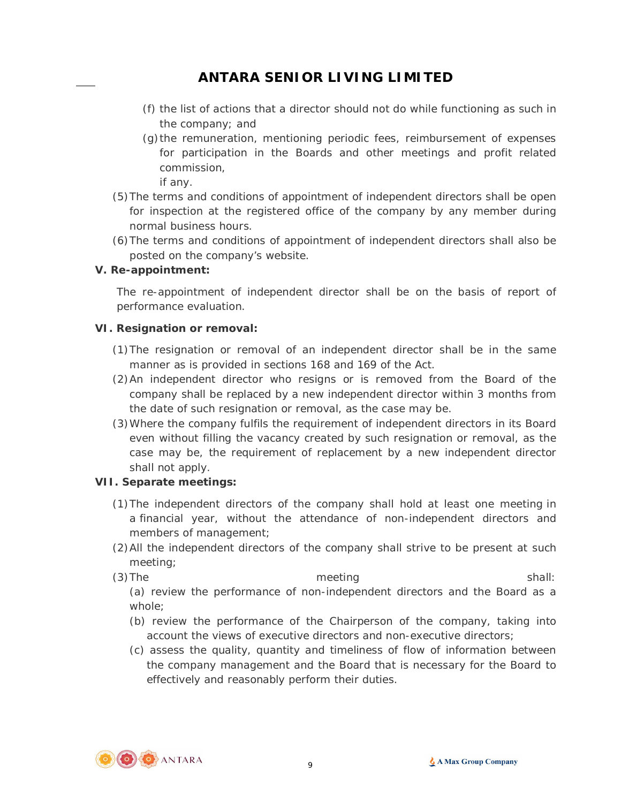- (f) the list of actions that a director should not do while functioning as such in the company; and
- (g)the remuneration, mentioning periodic fees, reimbursement of expenses for participation in the Boards and other meetings and profit related commission,

if any.

- (5)The terms and conditions of appointment of independent directors shall be open for inspection at the registered office of the company by any member during normal business hours.
- (6)The terms and conditions of appointment of independent directors shall also be posted on the company's website.

### **V. Re-appointment:**

The re-appointment of independent director shall be on the basis of report of performance evaluation.

### **VI. Resignation or removal:**

- (1)The resignation or removal of an independent director shall be in the same manner as is provided in sections 168 and 169 of the Act.
- (2)An independent director who resigns or is removed from the Board of the company shall be replaced by a new independent director within 3 months from the date of such resignation or removal, as the case may be.
- (3)Where the company fulfils the requirement of independent directors in its Board even without filling the vacancy created by such resignation or removal, as the case may be, the requirement of replacement by a new independent director shall not apply.

### **VII. Separate meetings:**

- (1)The independent directors of the company shall hold at least one meeting in a financial year, without the attendance of non-independent directors and members of management;
- (2)All the independent directors of the company shall strive to be present at such meeting;
- (3) The meeting shall: (a) review the performance of non-independent directors and the Board as a

whole;

- (b) review the performance of the Chairperson of the company, taking into account the views of executive directors and non-executive directors;
- (c) assess the quality, quantity and timeliness of flow of information between the company management and the Board that is necessary for the Board to effectively and reasonably perform their duties.